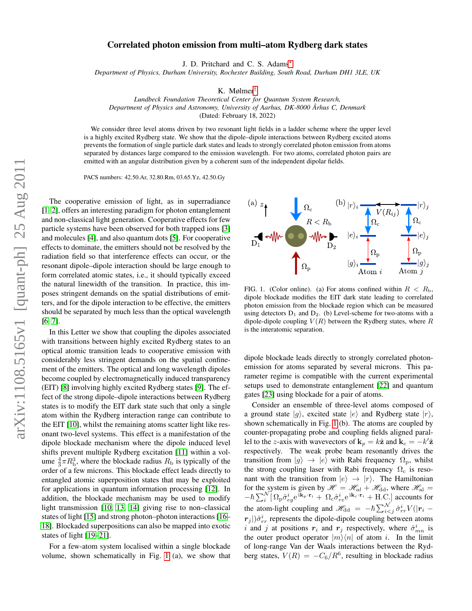## Correlated photon emission from multi–atom Rydberg dark states

J. D. Pritchard and C. S. Adams[∗](#page-3-0)

*Department of Physics, Durham University, Rochester Building, South Road, Durham DH1 3LE, UK*

K. Mølmer[†](#page-3-1)

*Lundbeck Foundation Theoretical Center for Quantum System Research, Department of Physics and Astronomy, University of Aarhus, DK-8000 Arhus C, Denmark ˚* (Dated: February 18, 2022)

We consider three level atoms driven by two resonant light fields in a ladder scheme where the upper level is a highly excited Rydberg state. We show that the dipole–dipole interactions between Rydberg excited atoms prevents the formation of single particle dark states and leads to strongly correlated photon emission from atoms separated by distances large compared to the emission wavelength. For two atoms, correlated photon pairs are emitted with an angular distribution given by a coherent sum of the independent dipolar fields.

PACS numbers: 42.50.Ar, 32.80.Rm, 03.65.Yz, 42.50.Gy

The cooperative emission of light, as in superradiance [\[1,](#page-3-2) [2\]](#page-3-3), offers an interesting paradigm for photon entanglement and non-classical light generation. Cooperative effects for few particle systems have been observed for both trapped ions [\[3\]](#page-3-4) and molecules [\[4\]](#page-3-5), and also quantum dots [\[5\]](#page-3-6). For cooperative effects to dominate, the emitters should not be resolved by the radiation field so that interference effects can occur, or the resonant dipole–dipole interaction should be large enough to form correlated atomic states, i.e., it should typically exceed the natural linewidth of the transition. In practice, this imposes stringent demands on the spatial distributions of emitters, and for the dipole interaction to be effective, the emitters should be separated by much less than the optical wavelength [\[6,](#page-3-7) [7\]](#page-3-8).

In this Letter we show that coupling the dipoles associated with transitions between highly excited Rydberg states to an optical atomic transition leads to cooperative emission with considerably less stringent demands on the spatial confinement of the emitters. The optical and long wavelength dipoles become coupled by electromagnetically induced transparency (EIT) [\[8\]](#page-3-9) involving highly excited Rydberg states [\[9\]](#page-3-10). The effect of the strong dipole–dipole interactions between Rydberg states is to modify the EIT dark state such that only a single atom within the Rydberg interaction range can contribute to the EIT [\[10\]](#page-3-11), whilst the remaining atoms scatter light like resonant two-level systems. This effect is a manifestation of the dipole blockade mechanism where the dipole induced level shifts prevent multiple Rydberg excitation [\[11\]](#page-3-12) within a volume  $\frac{4}{3}\pi R_{\rm b}^3$ , where the blockade radius  $R_{\rm b}$  is typically of the order of a few microns. This blockade effect leads directly to entangled atomic superposition states that may be exploited for applications in quantum information processing [\[12\]](#page-3-13). In addition, the blockade mechanism may be used to modify light transmission [\[10,](#page-3-11) [13,](#page-3-14) [14\]](#page-3-15) giving rise to non–classical states of light [\[15\]](#page-3-16) and strong photon–photon interactions [\[16–](#page-3-17) [18\]](#page-3-18). Blockaded superpositions can also be mapped into exotic states of light [\[19](#page-3-19)[–21\]](#page-3-20).

For a few-atom system localised within a single blockade volume, shown schematically in Fig. [1](#page-0-0) (a), we show that



<span id="page-0-0"></span>FIG. 1. (Color online). (a) For atoms confined within  $R < R_{\rm b}$ , dipole blockade modifies the EIT dark state leading to correlated photon emission from the blockade region which can be measured using detectors  $D_1$  and  $D_2$ . (b) Level-scheme for two-atoms with a dipole-dipole coupling  $V(R)$  between the Rydberg states, where R is the interatomic separation.

dipole blockade leads directly to strongly correlated photonemission for atoms separated by several microns. This parameter regime is compatible with the current experimental setups used to demonstrate entanglement [\[22\]](#page-3-21) and quantum gates [\[23\]](#page-3-22) using blockade for a pair of atoms.

Consider an ensemble of three-level atoms composed of a ground state  $|g\rangle$ , excited state  $|e\rangle$  and Rydberg state  $|r\rangle$ , shown schematically in Fig. [1](#page-0-0) (b). The atoms are coupled by counter-propagating probe and coupling fields aligned parallel to the z-axis with wavevectors of  $\mathbf{k}_p = k\hat{\mathbf{z}}$  and  $\mathbf{k}_c = -k'\hat{\mathbf{z}}$ respectively. The weak probe beam resonantly drives the transition from  $|g\rangle \rightarrow |e\rangle$  with Rabi frequency  $\Omega_{\rm p}$ , whilst the strong coupling laser with Rabi frequency  $\Omega_c$  is resonant with the transition from  $|e\rangle \rightarrow |r\rangle$ . The Hamiltonian for the system is given by  $\mathcal{H} = \mathcal{H}_{al} + \mathcal{H}_{dd}$ , where  $\mathcal{H}_{al} =$  $-\hbar \sum_{i}^{N} [\Omega_{\rm p} \hat{\sigma}_{eg}^{i} e^{i\mathbf{k}_{p}\cdot\mathbf{r}_{i}} + \Omega_{\rm c} \hat{\sigma}_{re}^{i} e^{i\mathbf{k}_{c}\cdot\mathbf{r}_{i}} + \text{H.C.}]$  accounts for the atom-light coupling and  $\mathscr{H}_{dd} = -\hbar \sum_{i < j}^{\mathcal{N}} \hat{\sigma}_{rr}^{i} V(|\mathbf{r}_{i} - \hat{\mathbf{r}}_{i}^{\mathcal{N}})|$  $r_j$ | $\hat{\sigma}_{rr}^i$  represents the dipole-dipole coupling between atoms i and j at positions  $r_i$  and  $r_j$  respectively, where  $\hat{\sigma}_{mn}^i$  is the outer product operator  $|m\rangle\langle n|$  of atom i. In the limit of long-range Van der Waals interactions between the Rydberg states,  $V(R) = -C_6/R^6$ , resulting in blockade radius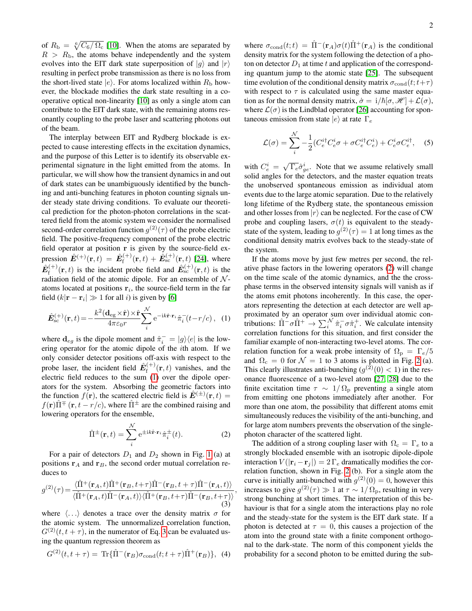of  $R_{\rm b} = \sqrt[6]{C_6/\Omega_{\rm c}}$  [\[10\]](#page-3-11). When the atoms are separated by  $R > R<sub>b</sub>$ , the atoms behave independently and the system evolves into the EIT dark state superposition of  $|g\rangle$  and  $|r\rangle$ resulting in perfect probe transmission as there is no loss from the short-lived state  $|e\rangle$ . For atoms localized within  $R_{\rm b}$  however, the blockade modifies the dark state resulting in a cooperative optical non-linearity [\[10\]](#page-3-11) as only a single atom can contribute to the EIT dark state, with the remaining atoms resonantly coupling to the probe laser and scattering photons out of the beam.

The interplay between EIT and Rydberg blockade is expected to cause interesting effects in the excitation dynamics, and the purpose of this Letter is to identify its observable experimental signature in the light emitted from the atoms. In particular, we will show how the transient dynamics in and out of dark states can be unambiguously identified by the bunching and anti-bunching features in photon counting signals under steady state driving conditions. To evaluate our theoretical prediction for the photon-photon correlations in the scattered field from the atomic system we consider the normalised second-order correlation function  $g^{(2)}(\tau)$  of the probe electric field. The positive-frequency component of the probe electric field operator at position r is given by the source-field expression  $\hat{\mathbf{E}}^{(+)}(\mathbf{r},t) = \hat{\mathbf{E}}_{\mathrm{f}}^{(+)}$  $f_{\rm f}^{(+)}({\bf r},t) + \hat{\bf E}_{\rm sc}^{(+)}({\bf r},t)$  [\[24\]](#page-3-23), where  $\hat{\bm{E}}_\text{f}^{(+)}$  $\hat{E}_{\rm{f}}^{(+)}(\mathbf{r},t)$  is the incident probe field and  $\hat{E}_{\rm{sc}}^{(+)}(\mathbf{r},t)$  is the radiation field of the atomic dipole. For an ensemble of  $N$ atoms located at positions  $r_i$ , the source-field term in the far field  $(k|\mathbf{r} - \mathbf{r}_i| \gg 1$  for all *i*) is given by [\[6\]](#page-3-7)

<span id="page-1-0"></span>
$$
\hat{E}_{\rm sc}^{(+)}(\mathbf{r},t) = -\frac{k^2(\mathbf{d}_{\rm eg} \times \hat{\mathbf{r}}) \times \hat{\mathbf{r}}}{4\pi\varepsilon_0 r} \sum_{i}^{N} e^{-ik\hat{\mathbf{r}} \cdot \mathbf{r}_i} \hat{\pi}_i^-(t - r/c), \quad (1)
$$

where  $\mathbf{d}_{eg}$  is the dipole moment and  $\hat{\pi}_i^- = |g\rangle\langle e|$  is the lowering operator for the atomic dipole of the ith atom. If we only consider detector positions off-axis with respect to the probe laser, the incident field  $\hat{E}_{\text{f}}^{(+)}$  $f_f^{(+)}(\mathbf{r},t)$  vanishes, and the electric field reduces to the sum [\(1\)](#page-1-0) over the dipole operators for the system. Absorbing the geometric factors into the function  $f(\mathbf{r})$ , the scattered electric field is  $\hat{\mathbf{E}}^{(\pm)}(\mathbf{r},t) =$  $f(\mathbf{r})\hat{\Pi}^{\pm}(\mathbf{r}, t-r/c)$ , where  $\hat{\Pi}^{\pm}$  are the combined raising and lowering operators for the ensemble,

<span id="page-1-2"></span>
$$
\hat{\Pi}^{\pm}(\mathbf{r},t) = \sum_{i}^{N} e^{\pm ik\hat{\mathbf{r}} \cdot \mathbf{r}_{i}} \hat{\pi}_{i}^{\pm}(t).
$$
 (2)

,

For a pair of detectors  $D_1$  and  $D_2$  shown in Fig. [1](#page-0-0) (a) at positions  $r_A$  and  $r_B$ , the second order mutual correlation reduces to

<span id="page-1-1"></span>
$$
g^{(2)}(\tau) = \frac{\langle \hat{\Pi}^+(\mathbf{r}_A, t) \hat{\Pi}^+(\mathbf{r}_B, t+\tau) \hat{\Pi}^-(\mathbf{r}_B, t+\tau) \hat{\Pi}^-(\mathbf{r}_A, t) \rangle}{\langle \hat{\Pi}^+(\mathbf{r}_A, t) \hat{\Pi}^-(\mathbf{r}_A, t) \rangle \langle \hat{\Pi}^+(\mathbf{r}_B, t+\tau) \hat{\Pi}^-(\mathbf{r}_B, t+\tau) \rangle} \tag{3}
$$

where  $\langle \ldots \rangle$  denotes a trace over the density matrix  $\sigma$  for the atomic system. The unnormalized correlation function,  $G^{(2)}(t, t + \tau)$ , in the numerator of Eq. [3](#page-1-1) can be evaluated using the quantum regression theorem as

$$
G^{(2)}(t, t + \tau) = \text{Tr}\{\hat{\Pi}^-(\mathbf{r}_B)\sigma_{\text{cond}}(t; t + \tau)\hat{\Pi}^+(\mathbf{r}_B)\}, \tag{4}
$$

where  $\sigma_{\text{cond}}(t;t) = \hat{\Pi}^-(\mathbf{r}_A)\sigma(t)\hat{\Pi}^+(\mathbf{r}_A)$  is the conditional density matrix for the system following the detection of a photon on detector  $D_1$  at time t and application of the corresponding quantum jump to the atomic state [\[25\]](#page-3-24). The subsequent time evolution of the conditional density matrix  $\sigma_{\text{cond}}(t; t+\tau)$ with respect to  $\tau$  is calculated using the same master equation as for the normal density matrix,  $\dot{\sigma} = i/\hbar[\sigma, \mathcal{H}] + \mathcal{L}(\sigma)$ , where  $\mathcal{L}(\sigma)$  is the Lindblad operator [\[26\]](#page-3-25) accounting for spontaneous emission from state  $|e\rangle$  at rate  $\Gamma_e$ 

$$
\mathcal{L}(\sigma) = \sum_{i}^{N} -\frac{1}{2} (C_e^{i\dagger} C_e^{i} \sigma + \sigma C_e^{i\dagger} C_e^{i}) + C_e^{i} \sigma C_e^{i\dagger}, \quad (5)
$$

with  $C_e^i = \sqrt{\Gamma_e} \hat{\sigma}_{ge}^i$ . Note that we assume relatively small solid angles for the detectors, and the master equation treats the unobserved spontaneous emission as individual atom events due to the large atomic separation. Due to the relatively long lifetime of the Rydberg state, the spontaneous emission and other losses from  $|r\rangle$  can be neglected. For the case of CW probe and coupling lasers,  $\sigma(t)$  is equivalent to the steadystate of the system, leading to  $g^{(2)}(\tau) = 1$  at long times as the conditional density matrix evolves back to the steady-state of the system.

If the atoms move by just few metres per second, the relative phase factors in the lowering operators [\(2\)](#page-1-2) will change on the time scale of the atomic dynamics, and the the crossphase terms in the observed intensity signals will vanish as if the atoms emit photons incoherently. In this case, the operators representing the detection at each detector are well approximated by an operator sum over individual atomic contributions:  $\hat{\Pi}^- \sigma \hat{\Pi}^+ \to \sum_i^{\mathcal{N}} \hat{\pi}_i^- \sigma \hat{\pi}_i^+$ . We calculate intensity correlation functions for this situation, and first consider the familiar example of non-interacting two-level atoms. The correlation function for a weak probe intensity of  $\Omega_{\rm p} = \Gamma_e/5$ and  $\Omega_c = 0$  for  $\mathcal{N} = 1$  to 3 atoms is plotted in Fig. [2](#page-2-0) (a). This clearly illustrates anti-bunching  $(g^{(2)}(0) < 1)$  in the resonance fluorescence of a two-level atom [\[27,](#page-3-26) [28\]](#page-3-27) due to the finite excitation time  $\tau \sim 1/\Omega_{\rm p}$  preventing a single atom from emitting one photons immediately after another. For more than one atom, the possibility that different atoms emit simultaneously reduces the visibility of the anti-bunching, and for large atom numbers prevents the observation of the singlephoton character of the scattered light.

The addition of a strong coupling laser with  $\Omega_c = \Gamma_e$  to a strongly blockaded ensemble with an isotropic dipole-dipole interaction  $V(|\mathbf{r}_i - \mathbf{r}_j|) = 2 \Gamma_e$  dramatically modifies the correlation function, shown in Fig. [2](#page-2-0) (b). For a single atom the curve is initially anti-bunched with  $g^{(2)}(0) = 0$ , however this increases to give  $g^{(2)}(\tau) \gg 1$  at  $\tau \sim 1/\Omega_{\rm p}$ , resulting in very strong bunching at short times. The interpretation of this behaviour is that for a single atom the interactions play no role and the steady-state for the system is the EIT dark state. If a photon is detected at  $\tau = 0$ , this causes a projection of the atom into the ground state with a finite component orthogonal to the dark-state. The norm of this component yields the probability for a second photon to be emitted during the sub-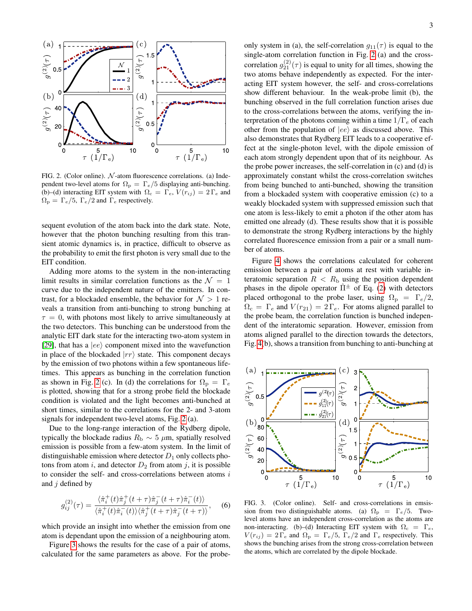

<span id="page-2-0"></span>FIG. 2. (Color online).  $N$ -atom fluorescence correlations. (a) Independent two-level atoms for  $\Omega_{\rm p} = \Gamma_e/5$  displaying anti-bunching. (b)–(d) interacting EIT system with  $\Omega_c = \Gamma_e$ ,  $V(r_{ij}) = 2 \Gamma_e$  and  $\Omega_{\rm p} = \Gamma_e/5$ ,  $\Gamma_e/2$  and  $\Gamma_e$  respectively.

sequent evolution of the atom back into the dark state. Note, however that the photon bunching resulting from this transient atomic dynamics is, in practice, difficult to observe as the probability to emit the first photon is very small due to the EIT condition.

Adding more atoms to the system in the non-interacting limit results in similar correlation functions as the  $\mathcal{N} = 1$ curve due to the independent nature of the emitters. In contrast, for a blockaded ensemble, the behavior for  $\mathcal{N} > 1$  reveals a transition from anti-bunching to strong bunching at  $\tau = 0$ , with photons most likely to arrive simultaneously at the two detectors. This bunching can be understood from the analytic EIT dark state for the interacting two-atom system in [\[29\]](#page-3-28), that has a  $|ee\rangle$  component mixed into the wavefunction in place of the blockaded  $|rr\rangle$  state. This component decays by the emission of two photons within a few spontaneous lifetimes. This appears as bunching in the correlation function as shown in Fig. [2](#page-2-0) (c). In (d) the correlations for  $\Omega_{\text{p}} = \Gamma_e$ is plotted, showing that for a strong probe field the blockade condition is violated and the light becomes anti-bunched at short times, similar to the correlations for the 2- and 3-atom signals for independent two-level atoms, Fig. [2](#page-2-0) (a).

Due to the long-range interaction of the Rydberg dipole, typically the blockade radius  $R<sub>b</sub> \sim 5 \mu m$ , spatially resolved emission is possible from a few-atom system. In the limit of distinguishable emission where detector  $D_1$  only collects photons from atom i, and detector  $D_2$  from atom j, it is possible to consider the self- and cross-correlations between atoms  $i$ and  $j$  defined by

$$
g_{ij}^{(2)}(\tau) = \frac{\langle \hat{\pi}_i^+(t)\hat{\pi}_j^+(t+\tau)\hat{\pi}_j^-(t+\tau)\hat{\pi}_i^-(t)\rangle}{\langle \hat{\pi}_i^+(t)\hat{\pi}_i^-(t)\rangle \langle \hat{\pi}_j^+(t+\tau)\hat{\pi}_j^-(t+\tau)\rangle},\quad (6)
$$

which provide an insight into whether the emission from one atom is dependant upon the emission of a neighbouring atom.

Figure [3](#page-2-1) shows the results for the case of a pair of atoms, calculated for the same parameters as above. For the probeonly system in (a), the self-correlation  $g_{11}(\tau)$  is equal to the single-atom correlation function in Fig. [2](#page-2-0) (a) and the crosscorrelation  $g_{21}^{(2)}(\tau)$  is equal to unity for all times, showing the two atoms behave independently as expected. For the interacting EIT system however, the self- and cross-correlations show different behaviour. In the weak-probe limit (b), the bunching observed in the full correlation function arises due to the cross-correlations between the atoms, verifying the interpretation of the photons coming within a time  $1/\Gamma_e$  of each other from the population of  $|ee\rangle$  as discussed above. This also demonstrates that Rydberg EIT leads to a cooperative effect at the single-photon level, with the dipole emission of each atom strongly dependent upon that of its neighbour. As the probe power increases, the self-correlation in (c) and (d) is approximately constant whilst the cross-correlation switches from being bunched to anti-bunched, showing the transition from a blockaded system with cooperative emission (c) to a weakly blockaded system with suppressed emission such that one atom is less-likely to emit a photon if the other atom has emitted one already (d). These results show that it is possible to demonstrate the strong Rydberg interactions by the highly correlated fluorescence emission from a pair or a small number of atoms.

Figure [4](#page-3-29) shows the correlations calculated for coherent emission between a pair of atoms at rest with variable interatomic separation  $R < R<sub>b</sub>$  using the position dependent phases in the dipole operator  $\hat{\Pi}^{\pm}$  of Eq. [\(2\)](#page-1-2) with detectors placed orthogonal to the probe laser, using  $\Omega_{\rm p} = \Gamma_e/2$ ,  $\Omega_c = \Gamma_e$  and  $V(r_{21}) = 2 \Gamma_e$ . For atoms aligned parallel to the probe beam, the correlation function is bunched independent of the interatomic separation. However, emission from atoms aligned parallel to the direction towards the detectors, Fig. [4\(](#page-3-29)b), shows a transition from bunching to anti-bunching at



<span id="page-2-1"></span>FIG. 3. (Color online). Self- and cross-correlations in emsission from two distinguishable atoms. (a)  $\Omega_{\text{p}} = \Gamma_e/5$ . Twolevel atoms have an independent cross-correlation as the atoms are non-interacting. (b)–(d) Interacting EIT system with  $\Omega_c = \Gamma_e$ ,  $V(r_{ij}) = 2 \Gamma_e$  and  $\Omega_p = \Gamma_e/5$ ,  $\Gamma_e/2$  and  $\Gamma_e$  respectively. This shows the bunching arises from the strong cross-correlation between the atoms, which are correlated by the dipole blockade.